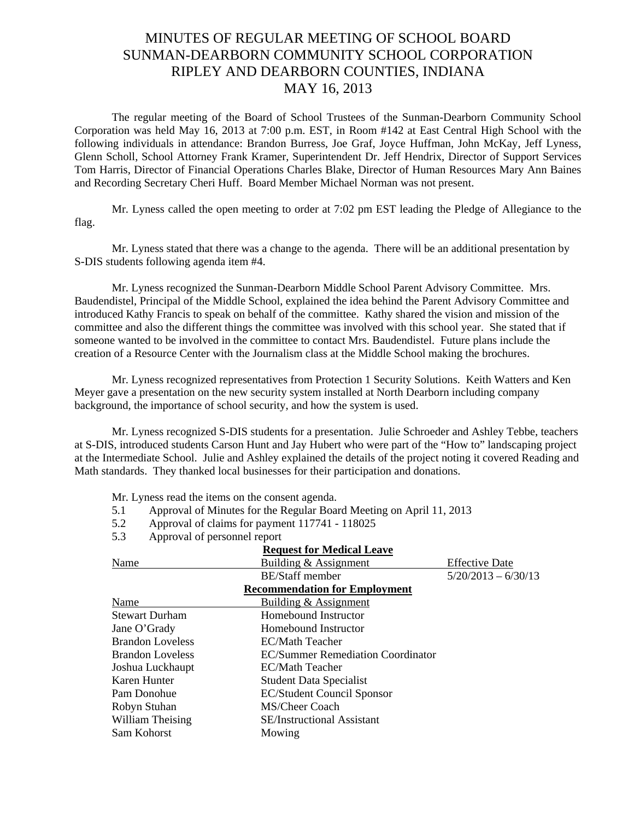## MINUTES OF REGULAR MEETING OF SCHOOL BOARD SUNMAN-DEARBORN COMMUNITY SCHOOL CORPORATION RIPLEY AND DEARBORN COUNTIES, INDIANA MAY 16, 2013

The regular meeting of the Board of School Trustees of the Sunman-Dearborn Community School Corporation was held May 16, 2013 at 7:00 p.m. EST, in Room #142 at East Central High School with the following individuals in attendance: Brandon Burress, Joe Graf, Joyce Huffman, John McKay, Jeff Lyness, Glenn Scholl, School Attorney Frank Kramer, Superintendent Dr. Jeff Hendrix, Director of Support Services Tom Harris, Director of Financial Operations Charles Blake, Director of Human Resources Mary Ann Baines and Recording Secretary Cheri Huff. Board Member Michael Norman was not present.

 Mr. Lyness called the open meeting to order at 7:02 pm EST leading the Pledge of Allegiance to the flag.

 Mr. Lyness stated that there was a change to the agenda. There will be an additional presentation by S-DIS students following agenda item #4.

Mr. Lyness recognized the Sunman-Dearborn Middle School Parent Advisory Committee. Mrs. Baudendistel, Principal of the Middle School, explained the idea behind the Parent Advisory Committee and introduced Kathy Francis to speak on behalf of the committee. Kathy shared the vision and mission of the committee and also the different things the committee was involved with this school year. She stated that if someone wanted to be involved in the committee to contact Mrs. Baudendistel. Future plans include the creation of a Resource Center with the Journalism class at the Middle School making the brochures.

Mr. Lyness recognized representatives from Protection 1 Security Solutions. Keith Watters and Ken Meyer gave a presentation on the new security system installed at North Dearborn including company background, the importance of school security, and how the system is used.

Mr. Lyness recognized S-DIS students for a presentation. Julie Schroeder and Ashley Tebbe, teachers at S-DIS, introduced students Carson Hunt and Jay Hubert who were part of the "How to" landscaping project at the Intermediate School. Julie and Ashley explained the details of the project noting it covered Reading and Math standards. They thanked local businesses for their participation and donations.

Mr. Lyness read the items on the consent agenda.

- 5.1 Approval of Minutes for the Regular Board Meeting on April 11, 2013
- 5.2 Approval of claims for payment 117741 118025
- 5.3 Approval of personnel report

| <b>Request for Medical Leave</b>     |                                   |                       |  |
|--------------------------------------|-----------------------------------|-----------------------|--|
| Name                                 | Building & Assignment             | <b>Effective Date</b> |  |
|                                      | <b>BE/Staff</b> member            | $5/20/2013 - 6/30/13$ |  |
| <b>Recommendation for Employment</b> |                                   |                       |  |
| Name                                 | Building & Assignment             |                       |  |
| <b>Stewart Durham</b>                | Homebound Instructor              |                       |  |
| Jane O'Grady                         | Homebound Instructor              |                       |  |
| <b>Brandon Loveless</b>              | EC/Math Teacher                   |                       |  |
| <b>Brandon Loveless</b>              | EC/Summer Remediation Coordinator |                       |  |
| Joshua Luckhaupt                     | EC/Math Teacher                   |                       |  |
| Karen Hunter                         | <b>Student Data Specialist</b>    |                       |  |
| Pam Donohue                          | <b>EC/Student Council Sponsor</b> |                       |  |
| Robyn Stuhan                         | MS/Cheer Coach                    |                       |  |
| William Theising                     | <b>SE/Instructional Assistant</b> |                       |  |
| Sam Kohorst                          | Mowing                            |                       |  |
|                                      |                                   |                       |  |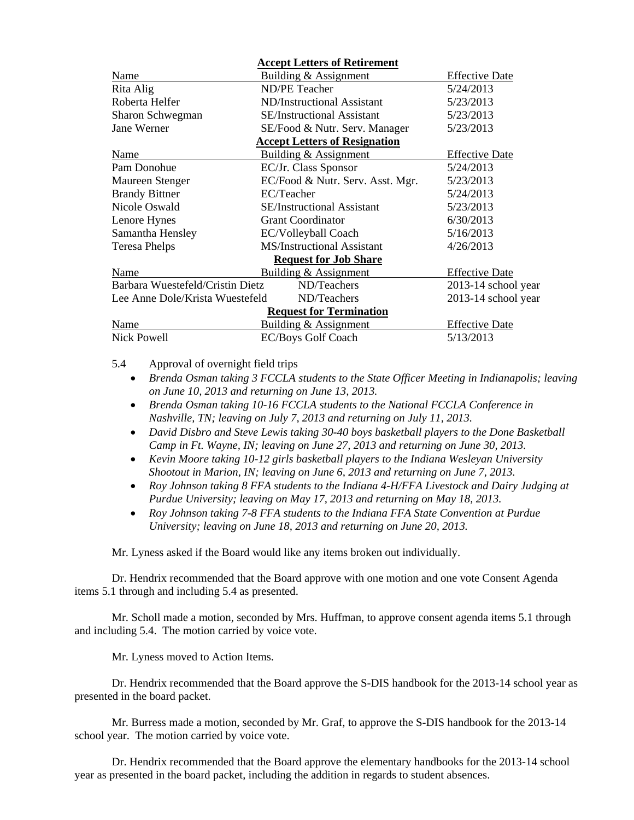|                                                 | <b>Accept Letters of Retirement</b>  |                       |
|-------------------------------------------------|--------------------------------------|-----------------------|
| Name                                            | Building & Assignment                | <b>Effective Date</b> |
| Rita Alig                                       | <b>ND/PE Teacher</b>                 | 5/24/2013             |
| Roberta Helfer                                  | ND/Instructional Assistant           | 5/23/2013             |
| Sharon Schwegman                                | <b>SE/Instructional Assistant</b>    | 5/23/2013             |
| Jane Werner                                     | SE/Food & Nutr. Serv. Manager        | 5/23/2013             |
|                                                 | <b>Accept Letters of Resignation</b> |                       |
| Name                                            | <b>Building &amp; Assignment</b>     | <b>Effective Date</b> |
| Pam Donohue                                     | EC/Jr. Class Sponsor                 | 5/24/2013             |
| Maureen Stenger                                 | EC/Food & Nutr. Serv. Asst. Mgr.     | 5/23/2013             |
| <b>Brandy Bittner</b>                           | EC/Teacher                           | 5/24/2013             |
| Nicole Oswald                                   | <b>SE/Instructional Assistant</b>    | 5/23/2013             |
| Lenore Hynes                                    | <b>Grant Coordinator</b>             | 6/30/2013             |
| Samantha Hensley                                | EC/Volleyball Coach                  | 5/16/2013             |
| <b>Teresa Phelps</b>                            | <b>MS/Instructional Assistant</b>    | 4/26/2013             |
|                                                 | <b>Request for Job Share</b>         |                       |
| Name                                            | Building & Assignment                | <b>Effective Date</b> |
| Barbara Wuestefeld/Cristin Dietz<br>ND/Teachers |                                      | 2013-14 school year   |
| Lee Anne Dole/Krista Wuestefeld                 | ND/Teachers                          | 2013-14 school year   |
|                                                 | <b>Request for Termination</b>       |                       |
| Name                                            | Building & Assignment                | <b>Effective Date</b> |
| Nick Powell                                     | <b>EC/Boys Golf Coach</b>            | 5/13/2013             |

5.4 Approval of overnight field trips

- *Brenda Osman taking 3 FCCLA students to the State Officer Meeting in Indianapolis; leaving on June 10, 2013 and returning on June 13, 2013.*
- *Brenda Osman taking 10-16 FCCLA students to the National FCCLA Conference in Nashville, TN; leaving on July 7, 2013 and returning on July 11, 2013.*
- *David Disbro and Steve Lewis taking 30-40 boys basketball players to the Done Basketball Camp in Ft. Wayne, IN; leaving on June 27, 2013 and returning on June 30, 2013.*
- *Kevin Moore taking 10-12 girls basketball players to the Indiana Wesleyan University Shootout in Marion, IN; leaving on June 6, 2013 and returning on June 7, 2013.*
- *Roy Johnson taking 8 FFA students to the Indiana 4-H/FFA Livestock and Dairy Judging at Purdue University; leaving on May 17, 2013 and returning on May 18, 2013.*
- *Roy Johnson taking 7-8 FFA students to the Indiana FFA State Convention at Purdue University; leaving on June 18, 2013 and returning on June 20, 2013.*

Mr. Lyness asked if the Board would like any items broken out individually.

Dr. Hendrix recommended that the Board approve with one motion and one vote Consent Agenda items 5.1 through and including 5.4 as presented.

Mr. Scholl made a motion, seconded by Mrs. Huffman, to approve consent agenda items 5.1 through and including 5.4. The motion carried by voice vote.

Mr. Lyness moved to Action Items.

 Dr. Hendrix recommended that the Board approve the S-DIS handbook for the 2013-14 school year as presented in the board packet.

 Mr. Burress made a motion, seconded by Mr. Graf, to approve the S-DIS handbook for the 2013-14 school year. The motion carried by voice vote.

Dr. Hendrix recommended that the Board approve the elementary handbooks for the 2013-14 school year as presented in the board packet, including the addition in regards to student absences.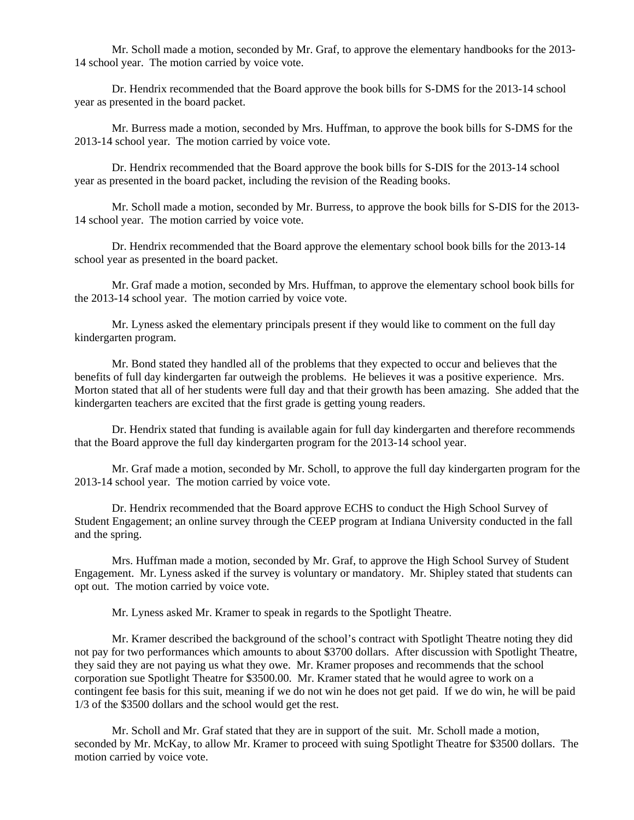Mr. Scholl made a motion, seconded by Mr. Graf, to approve the elementary handbooks for the 2013- 14 school year. The motion carried by voice vote.

Dr. Hendrix recommended that the Board approve the book bills for S-DMS for the 2013-14 school year as presented in the board packet.

Mr. Burress made a motion, seconded by Mrs. Huffman, to approve the book bills for S-DMS for the 2013-14 school year. The motion carried by voice vote.

Dr. Hendrix recommended that the Board approve the book bills for S-DIS for the 2013-14 school year as presented in the board packet, including the revision of the Reading books.

 Mr. Scholl made a motion, seconded by Mr. Burress, to approve the book bills for S-DIS for the 2013- 14 school year. The motion carried by voice vote.

Dr. Hendrix recommended that the Board approve the elementary school book bills for the 2013-14 school year as presented in the board packet.

 Mr. Graf made a motion, seconded by Mrs. Huffman, to approve the elementary school book bills for the 2013-14 school year. The motion carried by voice vote.

Mr. Lyness asked the elementary principals present if they would like to comment on the full day kindergarten program.

Mr. Bond stated they handled all of the problems that they expected to occur and believes that the benefits of full day kindergarten far outweigh the problems. He believes it was a positive experience. Mrs. Morton stated that all of her students were full day and that their growth has been amazing. She added that the kindergarten teachers are excited that the first grade is getting young readers.

Dr. Hendrix stated that funding is available again for full day kindergarten and therefore recommends that the Board approve the full day kindergarten program for the 2013-14 school year.

Mr. Graf made a motion, seconded by Mr. Scholl, to approve the full day kindergarten program for the 2013-14 school year. The motion carried by voice vote.

Dr. Hendrix recommended that the Board approve ECHS to conduct the High School Survey of Student Engagement; an online survey through the CEEP program at Indiana University conducted in the fall and the spring.

Mrs. Huffman made a motion, seconded by Mr. Graf, to approve the High School Survey of Student Engagement. Mr. Lyness asked if the survey is voluntary or mandatory. Mr. Shipley stated that students can opt out. The motion carried by voice vote.

Mr. Lyness asked Mr. Kramer to speak in regards to the Spotlight Theatre.

Mr. Kramer described the background of the school's contract with Spotlight Theatre noting they did not pay for two performances which amounts to about \$3700 dollars. After discussion with Spotlight Theatre, they said they are not paying us what they owe. Mr. Kramer proposes and recommends that the school corporation sue Spotlight Theatre for \$3500.00. Mr. Kramer stated that he would agree to work on a contingent fee basis for this suit, meaning if we do not win he does not get paid. If we do win, he will be paid 1/3 of the \$3500 dollars and the school would get the rest.

Mr. Scholl and Mr. Graf stated that they are in support of the suit. Mr. Scholl made a motion, seconded by Mr. McKay, to allow Mr. Kramer to proceed with suing Spotlight Theatre for \$3500 dollars. The motion carried by voice vote.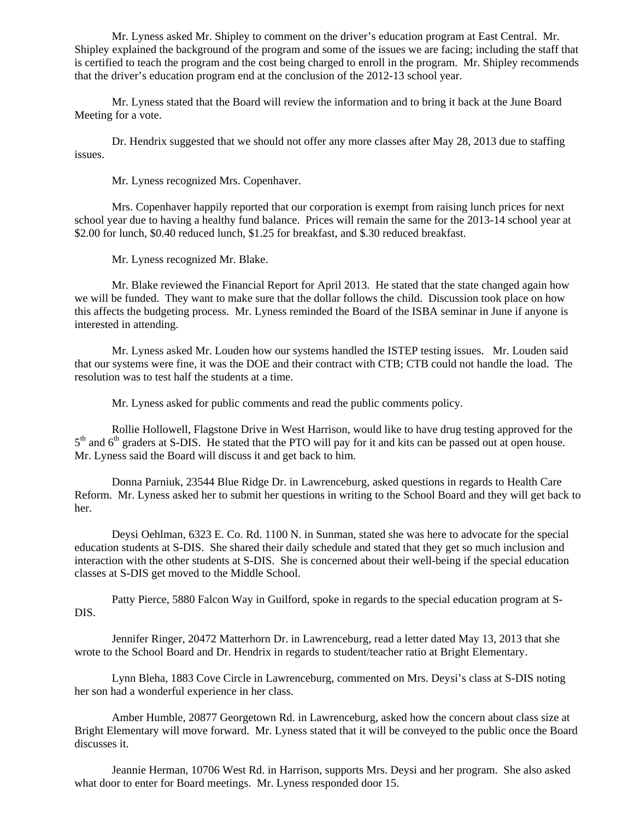Mr. Lyness asked Mr. Shipley to comment on the driver's education program at East Central. Mr. Shipley explained the background of the program and some of the issues we are facing; including the staff that is certified to teach the program and the cost being charged to enroll in the program. Mr. Shipley recommends that the driver's education program end at the conclusion of the 2012-13 school year.

Mr. Lyness stated that the Board will review the information and to bring it back at the June Board Meeting for a vote.

Dr. Hendrix suggested that we should not offer any more classes after May 28, 2013 due to staffing issues.

Mr. Lyness recognized Mrs. Copenhaver.

 Mrs. Copenhaver happily reported that our corporation is exempt from raising lunch prices for next school year due to having a healthy fund balance. Prices will remain the same for the 2013-14 school year at \$2.00 for lunch, \$0.40 reduced lunch, \$1.25 for breakfast, and \$.30 reduced breakfast.

Mr. Lyness recognized Mr. Blake.

Mr. Blake reviewed the Financial Report for April 2013. He stated that the state changed again how we will be funded. They want to make sure that the dollar follows the child. Discussion took place on how this affects the budgeting process. Mr. Lyness reminded the Board of the ISBA seminar in June if anyone is interested in attending.

Mr. Lyness asked Mr. Louden how our systems handled the ISTEP testing issues. Mr. Louden said that our systems were fine, it was the DOE and their contract with CTB; CTB could not handle the load. The resolution was to test half the students at a time.

Mr. Lyness asked for public comments and read the public comments policy.

Rollie Hollowell, Flagstone Drive in West Harrison, would like to have drug testing approved for the  $5<sup>th</sup>$  and  $6<sup>th</sup>$  graders at S-DIS. He stated that the PTO will pay for it and kits can be passed out at open house. Mr. Lyness said the Board will discuss it and get back to him.

 Donna Parniuk, 23544 Blue Ridge Dr. in Lawrenceburg, asked questions in regards to Health Care Reform. Mr. Lyness asked her to submit her questions in writing to the School Board and they will get back to her.

 Deysi Oehlman, 6323 E. Co. Rd. 1100 N. in Sunman, stated she was here to advocate for the special education students at S-DIS. She shared their daily schedule and stated that they get so much inclusion and interaction with the other students at S-DIS. She is concerned about their well-being if the special education classes at S-DIS get moved to the Middle School.

 Patty Pierce, 5880 Falcon Way in Guilford, spoke in regards to the special education program at S-DIS.

 Jennifer Ringer, 20472 Matterhorn Dr. in Lawrenceburg, read a letter dated May 13, 2013 that she wrote to the School Board and Dr. Hendrix in regards to student/teacher ratio at Bright Elementary.

 Lynn Bleha, 1883 Cove Circle in Lawrenceburg, commented on Mrs. Deysi's class at S-DIS noting her son had a wonderful experience in her class.

 Amber Humble, 20877 Georgetown Rd. in Lawrenceburg, asked how the concern about class size at Bright Elementary will move forward. Mr. Lyness stated that it will be conveyed to the public once the Board discusses it.

 Jeannie Herman, 10706 West Rd. in Harrison, supports Mrs. Deysi and her program. She also asked what door to enter for Board meetings. Mr. Lyness responded door 15.